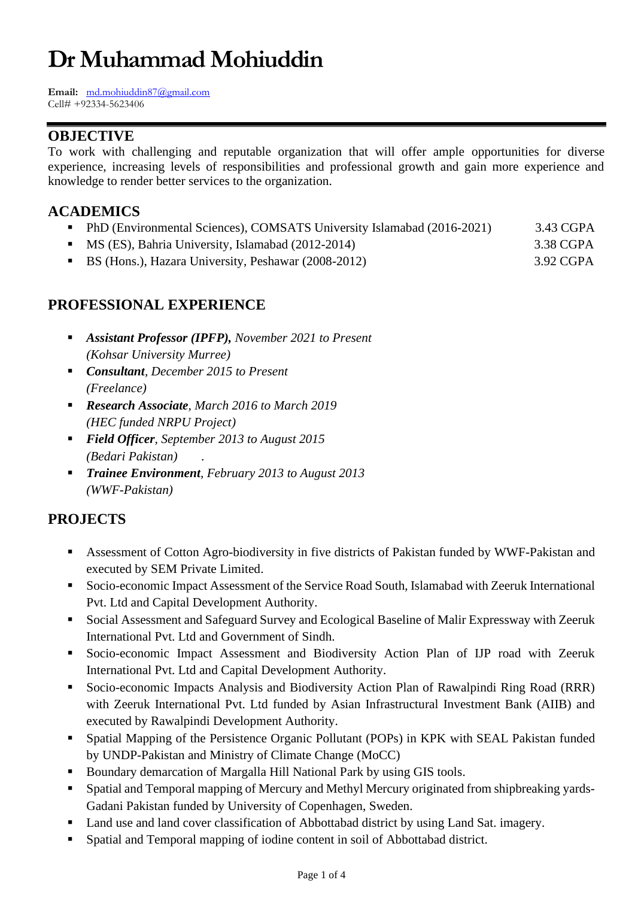# **Dr Muhammad Mohiuddin**

**Email:** [md.mohiuddin87@gmail.com](mailto:md.mohiuddin87@gmail.com) Cell# +92334-5623406

## **OBJECTIVE**

To work with challenging and reputable organization that will offer ample opportunities for diverse experience, increasing levels of responsibilities and professional growth and gain more experience and knowledge to render better services to the organization.

## **ACADEMICS**

- **•** PhD (Environmental Sciences), COMSATS University Islamabad (2016-2021) 3.43 CGPA
- MS (ES), Bahria University, Islamabad (2012-2014) 3.38 CGPA
- BS (Hons.), Hazara University, Peshawar (2008-2012) 3.92 CGPA

### **PROFESSIONAL EXPERIENCE**

- *Assistant Professor (IPFP), November 2021 to Present (Kohsar University Murree)*
- *Consultant, December 2015 to Present (Freelance)*
- *Research Associate, March 2016 to March 2019 (HEC funded NRPU Project)*
- *Field Officer*, September 2013 to August 2015 *(Bedari Pakistan) .*
- *Trainee Environment, February 2013 to August 2013 (WWF-Pakistan)*

# **PROJECTS**

- **EXECUTE:** Assessment of Cotton Agro-biodiversity in five districts of Pakistan funded by WWF-Pakistan and executed by SEM Private Limited.
- Socio-economic Impact Assessment of the Service Road South, Islamabad with Zeeruk International Pvt. Ltd and Capital Development Authority.
- Social Assessment and Safeguard Survey and Ecological Baseline of Malir Expressway with Zeeruk International Pvt. Ltd and Government of Sindh.
- Socio-economic Impact Assessment and Biodiversity Action Plan of IJP road with Zeeruk International Pvt. Ltd and Capital Development Authority.
- Socio-economic Impacts Analysis and Biodiversity Action Plan of Rawalpindi Ring Road (RRR) with Zeeruk International Pvt. Ltd funded by Asian Infrastructural Investment Bank (AIIB) and executed by Rawalpindi Development Authority.
- Spatial Mapping of the Persistence Organic Pollutant (POPs) in KPK with SEAL Pakistan funded by UNDP-Pakistan and Ministry of Climate Change (MoCC)
- Boundary demarcation of Margalla Hill National Park by using GIS tools.
- Spatial and Temporal mapping of Mercury and Methyl Mercury originated from shipbreaking yards-Gadani Pakistan funded by University of Copenhagen, Sweden.
- Land use and land cover classification of Abbottabad district by using Land Sat. imagery.
- Spatial and Temporal mapping of iodine content in soil of Abbottabad district.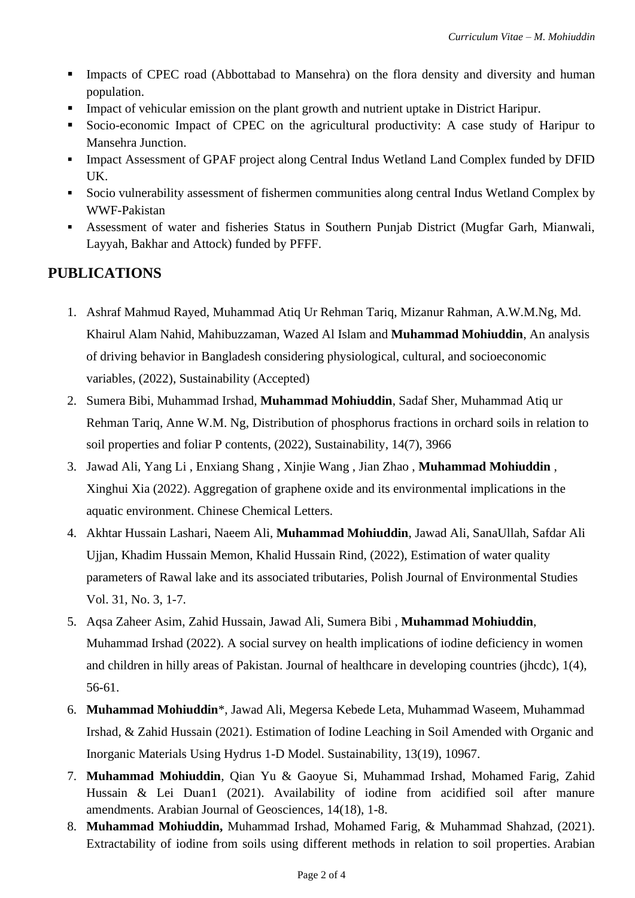- **EXECUTER 1** Impacts of CPEC road (Abbottabad to Mansehra) on the flora density and diversity and human population.
- Impact of vehicular emission on the plant growth and nutrient uptake in District Haripur.
- Socio-economic Impact of CPEC on the agricultural productivity: A case study of Haripur to Mansehra Junction.
- **Impact Assessment of GPAF project along Central Indus Wetland Land Complex funded by DFID** UK.
- Socio vulnerability assessment of fishermen communities along central Indus Wetland Complex by WWF-Pakistan
- Assessment of water and fisheries Status in Southern Punjab District (Mugfar Garh, Mianwali, Layyah, Bakhar and Attock) funded by PFFF.

# **PUBLICATIONS**

- 1. Ashraf Mahmud Rayed, Muhammad Atiq Ur Rehman Tariq, Mizanur Rahman, A.W.M.Ng, Md. Khairul Alam Nahid, Mahibuzzaman, Wazed Al Islam and **Muhammad Mohiuddin**, An analysis of driving behavior in Bangladesh considering physiological, cultural, and socioeconomic variables, (2022), Sustainability (Accepted)
- 2. Sumera Bibi, Muhammad Irshad, **Muhammad Mohiuddin**, Sadaf Sher, Muhammad Atiq ur Rehman Tariq, Anne W.M. Ng, Distribution of phosphorus fractions in orchard soils in relation to soil properties and foliar P contents, (2022), Sustainability, 14(7), 3966
- 3. Jawad Ali, Yang Li , Enxiang Shang , Xinjie Wang , Jian Zhao , **Muhammad Mohiuddin** , Xinghui Xia (2022). Aggregation of graphene oxide and its environmental implications in the aquatic environment. Chinese Chemical Letters.
- 4. Akhtar Hussain Lashari, Naeem Ali, **Muhammad Mohiuddin**, Jawad Ali, SanaUllah, Safdar Ali Ujjan, Khadim Hussain Memon, Khalid Hussain Rind, (2022), Estimation of water quality parameters of Rawal lake and its associated tributaries, Polish Journal of Environmental Studies Vol. 31, No. 3, 1-7.
- 5. Aqsa Zaheer Asim, Zahid Hussain, Jawad Ali, Sumera Bibi , **Muhammad Mohiuddin**, Muhammad Irshad (2022). A social survey on health implications of iodine deficiency in women and children in hilly areas of Pakistan. Journal of healthcare in developing countries (jhcdc), 1(4), 56-61.
- 6. **Muhammad Mohiuddin**\*, Jawad Ali, [Megersa Kebede Leta,](https://sciprofiles.com/profile/1503047) Muhammad Waseem, Muhammad Irshad, & Zahid Hussain (2021). Estimation of Iodine Leaching in Soil Amended with Organic and Inorganic Materials Using Hydrus 1-D Model. Sustainability, 13(19), 10967.
- 7. **Muhammad Mohiuddin**, Qian Yu & Gaoyue Si, Muhammad Irshad, Mohamed Farig, Zahid Hussain & Lei Duan1 (2021). Availability of iodine from acidified soil after manure amendments. Arabian Journal of Geosciences, 14(18), 1-8.
- 8. **Muhammad Mohiuddin,** Muhammad Irshad, Mohamed Farig, & Muhammad Shahzad, (2021). Extractability of iodine from soils using different methods in relation to soil properties. Arabian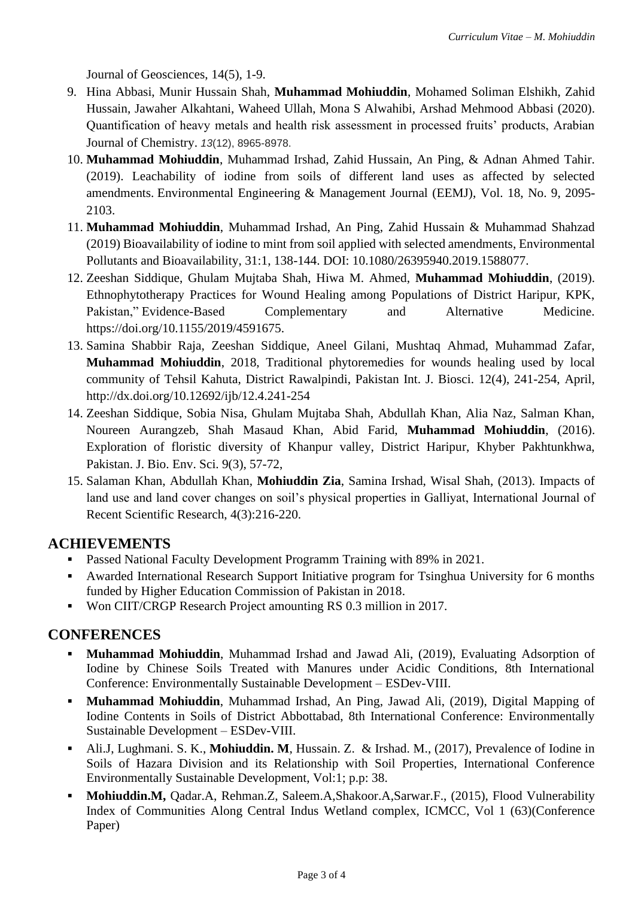Journal of Geosciences, 14(5), 1-9.

- 9. Hina Abbasi, Munir Hussain Shah, **Muhammad Mohiuddin**, Mohamed Soliman Elshikh, Zahid Hussain, Jawaher Alkahtani, Waheed Ullah, Mona S Alwahibi, Arshad Mehmood Abbasi (2020). Quantification of heavy metals and health risk assessment in processed fruits' products, Arabian Journal of Chemistry. *13*(12), 8965-8978.
- 10. **Muhammad Mohiuddin**, Muhammad Irshad, Zahid Hussain, An Ping, & Adnan Ahmed Tahir. (2019). Leachability of iodine from soils of different land uses as affected by selected amendments. Environmental Engineering & Management Journal (EEMJ), Vol. 18, No. 9, 2095- 2103.
- 11. **Muhammad Mohiuddin**, Muhammad Irshad, An Ping, Zahid Hussain & Muhammad Shahzad (2019) Bioavailability of iodine to mint from soil applied with selected amendments, Environmental Pollutants and Bioavailability, 31:1, 138-144. DOI: 10.1080/26395940.2019.1588077.
- 12. Zeeshan Siddique, Ghulam Mujtaba Shah, Hiwa M. Ahmed, **Muhammad Mohiuddin**, (2019). Ethnophytotherapy Practices for Wound Healing among Populations of District Haripur, KPK, Pakistan," Evidence-Based Complementary and Alternative Medicine. [https://doi.org/10.1155/2019/4591675.](https://doi.org/10.1155/2019/4591675)
- 13. Samina Shabbir Raja, Zeeshan Siddique, Aneel Gilani, Mushtaq Ahmad, Muhammad Zafar, **Muhammad Mohiuddin**, 2018, Traditional phytoremedies for wounds healing used by local community of Tehsil Kahuta, District Rawalpindi, Pakistan Int. J. Biosci. 12(4), 241-254, April, <http://dx.doi.org/10.12692/ijb/12.4.241-254>
- 14. Zeeshan Siddique, Sobia Nisa, Ghulam Mujtaba Shah, Abdullah Khan, Alia Naz, Salman Khan, Noureen Aurangzeb, Shah Masaud Khan, Abid Farid, **Muhammad Mohiuddin**, (2016). Exploration of floristic diversity of Khanpur valley, District Haripur, Khyber Pakhtunkhwa, Pakistan. J. Bio. Env. Sci. 9(3), 57-72,
- 15. Salaman Khan, Abdullah Khan, **Mohiuddin Zia**, Samina Irshad, Wisal Shah, (2013). Impacts of land use and land cover changes on soil's physical properties in Galliyat, International Journal of Recent Scientific Research, 4(3):216-220.

#### **ACHIEVEMENTS**

- **Passed National Faculty Development Programm Training with 89% in 2021.**
- Awarded International Research Support Initiative program for Tsinghua University for 6 months funded by Higher Education Commission of Pakistan in 2018.
- Won CIIT/CRGP Research Project amounting RS 0.3 million in 2017.

#### **CONFERENCES**

- **Muhammad Mohiuddin**, Muhammad Irshad and Jawad Ali, (2019), Evaluating Adsorption of Iodine by Chinese Soils Treated with Manures under Acidic Conditions, 8th International Conference: Environmentally Sustainable Development – ESDev-VIII.
- **Muhammad Mohiuddin**, Muhammad Irshad, An Ping, Jawad Ali, (2019), Digital Mapping of Iodine Contents in Soils of District Abbottabad, 8th International Conference: Environmentally Sustainable Development – ESDev-VIII.
- Ali.J, Lughmani. S. K., **Mohiuddin. M**, Hussain. Z. & Irshad. M., (2017), Prevalence of Iodine in Soils of Hazara Division and its Relationship with Soil Properties, International Conference Environmentally Sustainable Development, Vol:1; p.p: 38.
- Mohiuddin.M, Qadar.A, Rehman.Z, Saleem.A,Shakoor.A,Sarwar.F., (2015), Flood Vulnerability Index of Communities Along Central Indus Wetland complex, ICMCC, Vol 1 (63)(Conference Paper)